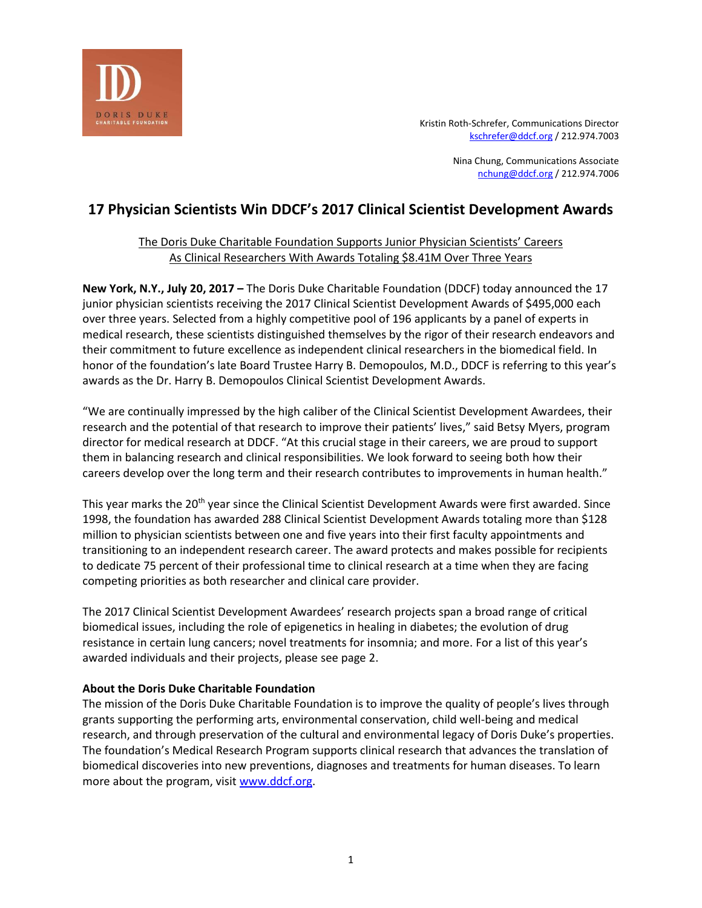

Kristin Roth-Schrefer, Communications Director [kschrefer@ddcf.org](mailto:kschrefer@ddcf.org) / 212.974.7003

> Nina Chung, Communications Associate [nchung@ddcf.org](mailto:nchung@ddcf.org) / 212.974.7006

# **17 Physician Scientists Win DDCF's 2017 Clinical Scientist Development Awards**

# The Doris Duke Charitable Foundation Supports Junior Physician Scientists' Careers As Clinical Researchers With Awards Totaling \$8.41M Over Three Years

**New York, N.Y., July 20, 2017 –** The Doris Duke Charitable Foundation (DDCF) today announced the 17 junior physician scientists receiving the 2017 Clinical Scientist Development Awards of \$495,000 each over three years. Selected from a highly competitive pool of 196 applicants by a panel of experts in medical research, these scientists distinguished themselves by the rigor of their research endeavors and their commitment to future excellence as independent clinical researchers in the biomedical field. In honor of the foundation's late Board Trustee Harry B. Demopoulos, M.D., DDCF is referring to this year's awards as the Dr. Harry B. Demopoulos Clinical Scientist Development Awards.

"We are continually impressed by the high caliber of the Clinical Scientist Development Awardees, their research and the potential of that research to improve their patients' lives," said Betsy Myers, program director for medical research at DDCF. "At this crucial stage in their careers, we are proud to support them in balancing research and clinical responsibilities. We look forward to seeing both how their careers develop over the long term and their research contributes to improvements in human health."

This year marks the 20<sup>th</sup> year since the Clinical Scientist Development Awards were first awarded. Since 1998, the foundation has awarded 288 Clinical Scientist Development Awards totaling more than \$128 million to physician scientists between one and five years into their first faculty appointments and transitioning to an independent research career. The award protects and makes possible for recipients to dedicate 75 percent of their professional time to clinical research at a time when they are facing competing priorities as both researcher and clinical care provider.

The 2017 Clinical Scientist Development Awardees' research projects span a broad range of critical biomedical issues, including the role of epigenetics in healing in diabetes; the evolution of drug resistance in certain lung cancers; novel treatments for insomnia; and more. For a list of this year's awarded individuals and their projects, please see page 2.

# **About the Doris Duke Charitable Foundation**

The mission of the Doris Duke Charitable Foundation is to improve the quality of people's lives through grants supporting the performing arts, environmental conservation, child well-being and medical research, and through preservation of the cultural and environmental legacy of Doris Duke's properties. The foundation's Medical Research Program supports clinical research that advances the translation of biomedical discoveries into new preventions, diagnoses and treatments for human diseases. To learn more about the program, visit [www.ddcf.org.](http://www.ddcf.org/)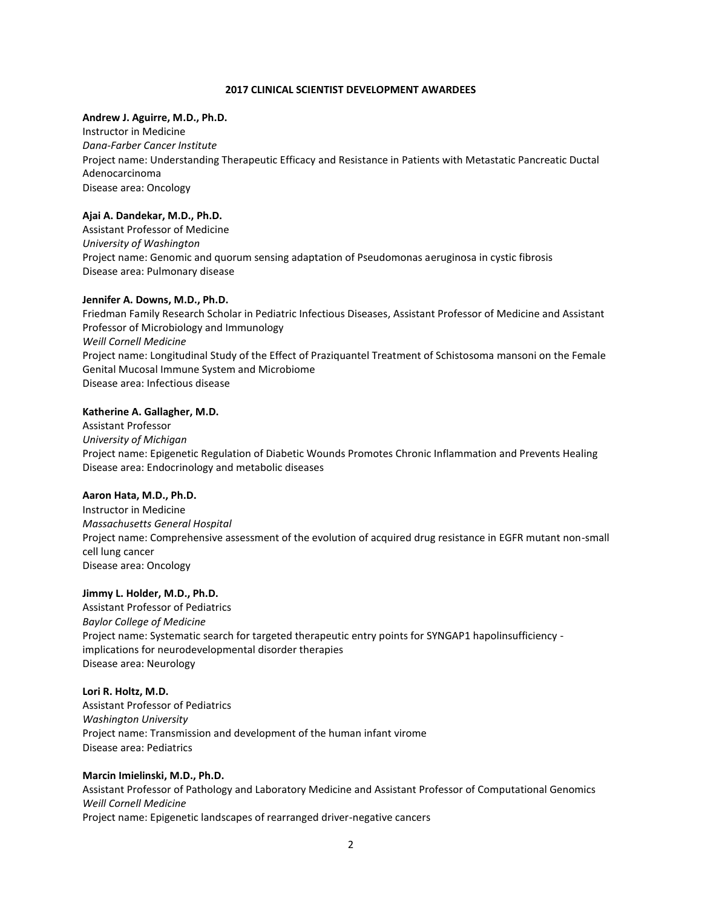#### **2017 CLINICAL SCIENTIST DEVELOPMENT AWARDEES**

#### **Andrew J. Aguirre, M.D., Ph.D.**

Instructor in Medicine *Dana-Farber Cancer Institute* Project name: Understanding Therapeutic Efficacy and Resistance in Patients with Metastatic Pancreatic Ductal Adenocarcinoma Disease area: Oncology

#### **Ajai A. Dandekar, M.D., Ph.D.**

Assistant Professor of Medicine *University of Washington*  Project name: Genomic and quorum sensing adaptation of Pseudomonas aeruginosa in cystic fibrosis Disease area: Pulmonary disease

#### **Jennifer A. Downs, M.D., Ph.D.**

Friedman Family Research Scholar in Pediatric Infectious Diseases, Assistant Professor of Medicine and Assistant Professor of Microbiology and Immunology *Weill Cornell Medicine* Project name: Longitudinal Study of the Effect of Praziquantel Treatment of Schistosoma mansoni on the Female Genital Mucosal Immune System and Microbiome Disease area: Infectious disease

#### **Katherine A. Gallagher, M.D.**

Assistant Professor *University of Michigan* Project name: Epigenetic Regulation of Diabetic Wounds Promotes Chronic Inflammation and Prevents Healing Disease area: Endocrinology and metabolic diseases

#### **Aaron Hata, M.D., Ph.D.**

Instructor in Medicine *Massachusetts General Hospital* Project name: Comprehensive assessment of the evolution of acquired drug resistance in EGFR mutant non-small cell lung cancer Disease area: Oncology

#### **Jimmy L. Holder, M.D., Ph.D.**

Assistant Professor of Pediatrics *Baylor College of Medicine* Project name: Systematic search for targeted therapeutic entry points for SYNGAP1 hapolinsufficiency implications for neurodevelopmental disorder therapies Disease area: Neurology

#### **Lori R. Holtz, M.D.**

Assistant Professor of Pediatrics *Washington University* Project name: Transmission and development of the human infant virome Disease area: Pediatrics

#### **Marcin Imielinski, M.D., Ph.D.**

Assistant Professor of Pathology and Laboratory Medicine and Assistant Professor of Computational Genomics *Weill Cornell Medicine* Project name: Epigenetic landscapes of rearranged driver-negative cancers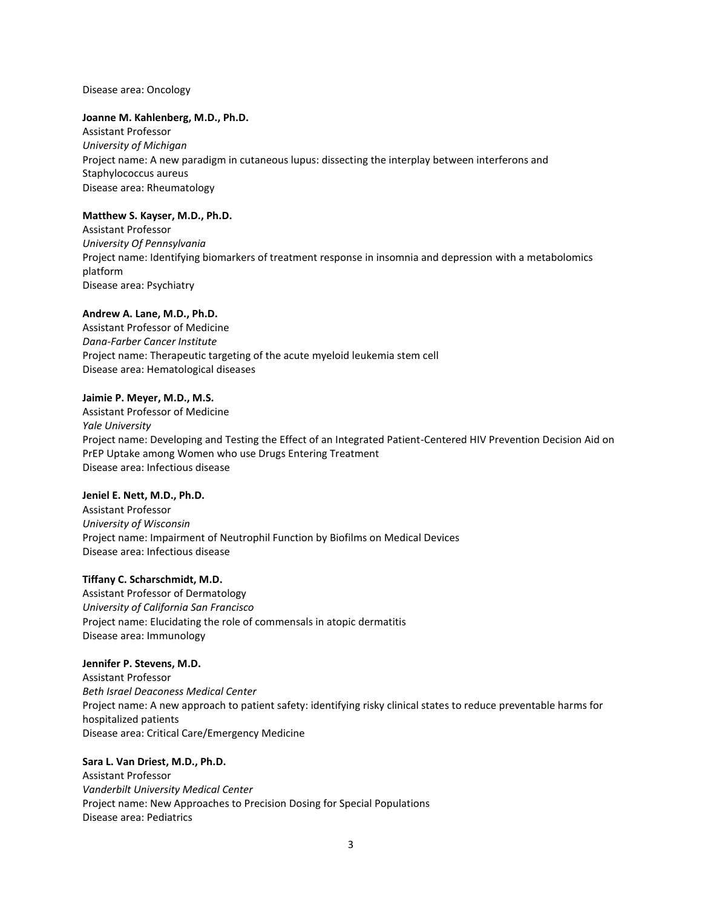Disease area: Oncology

#### **Joanne M. Kahlenberg, M.D., Ph.D.**

Assistant Professor *University of Michigan* Project name: A new paradigm in cutaneous lupus: dissecting the interplay between interferons and Staphylococcus aureus Disease area: Rheumatology

#### **Matthew S. Kayser, M.D., Ph.D.**

Assistant Professor *University Of Pennsylvania* Project name: Identifying biomarkers of treatment response in insomnia and depression with a metabolomics platform Disease area: Psychiatry

#### **Andrew A. Lane, M.D., Ph.D.**

Assistant Professor of Medicine *Dana-Farber Cancer Institute* Project name: Therapeutic targeting of the acute myeloid leukemia stem cell Disease area: Hematological diseases

#### **Jaimie P. Meyer, M.D., M.S.**

Assistant Professor of Medicine *Yale University* Project name: Developing and Testing the Effect of an Integrated Patient-Centered HIV Prevention Decision Aid on PrEP Uptake among Women who use Drugs Entering Treatment Disease area: Infectious disease

#### **Jeniel E. Nett, M.D., Ph.D.**

Assistant Professor *University of Wisconsin*  Project name: Impairment of Neutrophil Function by Biofilms on Medical Devices Disease area: Infectious disease

### **Tiffany C. Scharschmidt, M.D.**

Assistant Professor of Dermatology *University of California San Francisco* Project name: Elucidating the role of commensals in atopic dermatitis Disease area: Immunology

#### **Jennifer P. Stevens, M.D.**

Assistant Professor *Beth Israel Deaconess Medical Center* Project name: A new approach to patient safety: identifying risky clinical states to reduce preventable harms for hospitalized patients Disease area: Critical Care/Emergency Medicine

#### **Sara L. Van Driest, M.D., Ph.D.**

Assistant Professor *Vanderbilt University Medical Center* Project name: New Approaches to Precision Dosing for Special Populations Disease area: Pediatrics